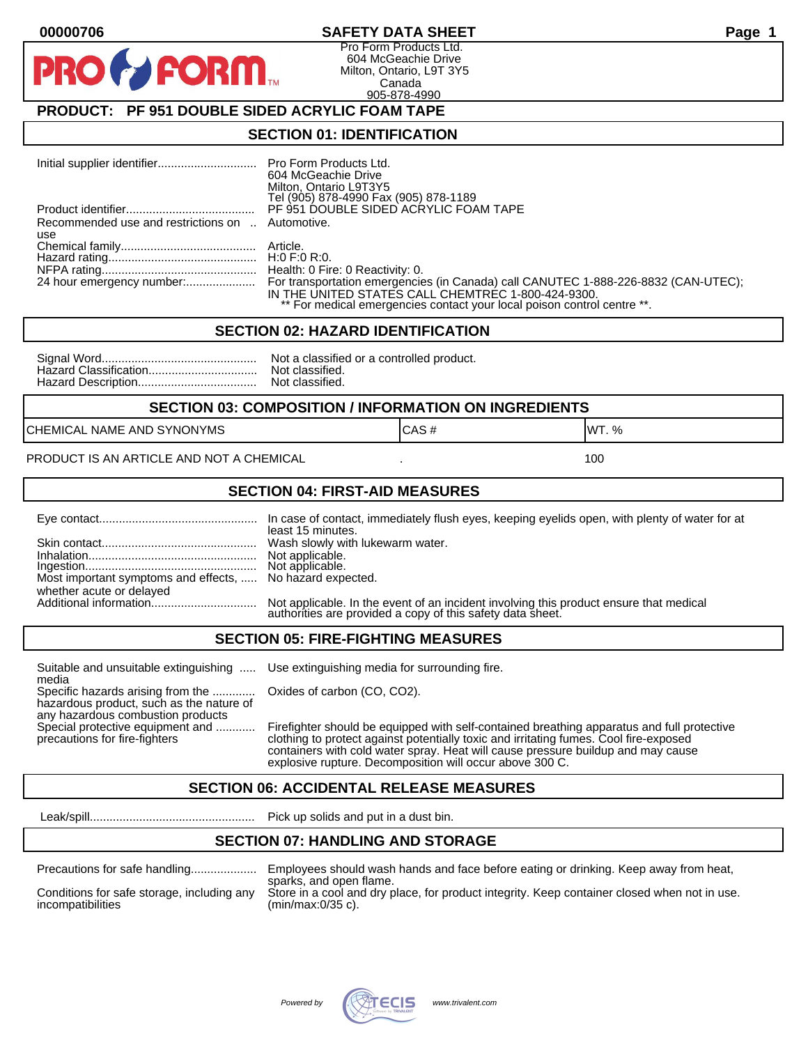#### **00000706 SAFETY DATA SHEET Page 1**

Pro Form Products Ltd. 604 McGeachie Drive Milton, Ontario, L9T 3Y5 Canada 905-878-4990

## **PRODUCT: PF 951 DOUBLE SIDED ACRYLIC FOAM TAPE**

FORM.

#### **SECTION 01: IDENTIFICATION**

|                                                  | 604 McGeachie Drive<br>Milton, Ontario L9T3Y5<br>Tel (905) 878-4990 Fax (905) 878-1189                                                                                                                                                        |
|--------------------------------------------------|-----------------------------------------------------------------------------------------------------------------------------------------------------------------------------------------------------------------------------------------------|
|                                                  | PF 951 DOUBLE SIDED ACRYLIC FOAM TAPE                                                                                                                                                                                                         |
| Recommended use and restrictions on  Automotive. |                                                                                                                                                                                                                                               |
| use                                              |                                                                                                                                                                                                                                               |
|                                                  |                                                                                                                                                                                                                                               |
|                                                  |                                                                                                                                                                                                                                               |
|                                                  |                                                                                                                                                                                                                                               |
|                                                  | 24 hour emergency number: For transportation emergencies (in Canada) call CANUTEC 1-888-226-8832 (CAN-UTEC);<br>IN THE UNITED STATES CALL CHEMTREC 1-800-424-9300.<br>** For medical emergencies contact your local poison control centre **. |

#### **SECTION 02: HAZARD IDENTIFICATION**

| Nc |
|----|
| No |
| No |

ot a classified or a controlled product. ot classified. ot classified.

#### **SECTION 03: COMPOSITION / INFORMATION ON INGREDIENTS**

CHEMICAL NAME AND SYNONYMS GAS AND CAS # CAS # WT. %

PRODUCT IS AN ARTICLE AND NOT A CHEMICAL **AND THE SET AND A SET ALL ASSAULT** 100

#### **SECTION 04: FIRST-AID MEASURES**

|                                                                                       | least 15 minutes.                                                                                                                                    |
|---------------------------------------------------------------------------------------|------------------------------------------------------------------------------------------------------------------------------------------------------|
|                                                                                       |                                                                                                                                                      |
| Most important symptoms and effects,  No hazard expected.<br>whether acute or delayed |                                                                                                                                                      |
|                                                                                       | Not applicable. In the event of an incident involving this product ensure that medical<br>authorities are provided a copy of this safety data sheet. |

#### **SECTION 05: FIRE-FIGHTING MEASURES**

Suitable and unsuitable extinguishing ..... Use extinguishing media for surrounding fire. media

Specific hazards arising from the ............. Oxides of carbon (CO, CO2). hazardous product, such as the nature of any hazardous combustion products

Special protective equipment and ............ Firefighter should be equipped with self-contained breathing apparatus and full protective<br>precautions for fire-fighters continent clothing to protect against potentially toxic clothing to protect against potentially toxic and irritating fumes. Cool fire-exposed containers with cold water spray. Heat will cause pressure buildup and may cause explosive rupture. Decomposition will occur above 300 C.

## **SECTION 06: ACCIDENTAL RELEASE MEASURES**

Leak/spill.................................................. Pick up solids and put in a dust bin.

## **SECTION 07: HANDLING AND STORAGE**

| Precautions for safe handling |  |
|-------------------------------|--|
|                               |  |

Precautions for safe handling.................... Employees should wash hands and face before eating or drinking. Keep away from heat, sparks, and open flame. Conditions for safe storage, including any Store in a cool and dry place, for product integrity. Keep container closed when not in use.<br>incompatibilities (min/max:0/35 c).  $(min/max:0/35 c)$ .

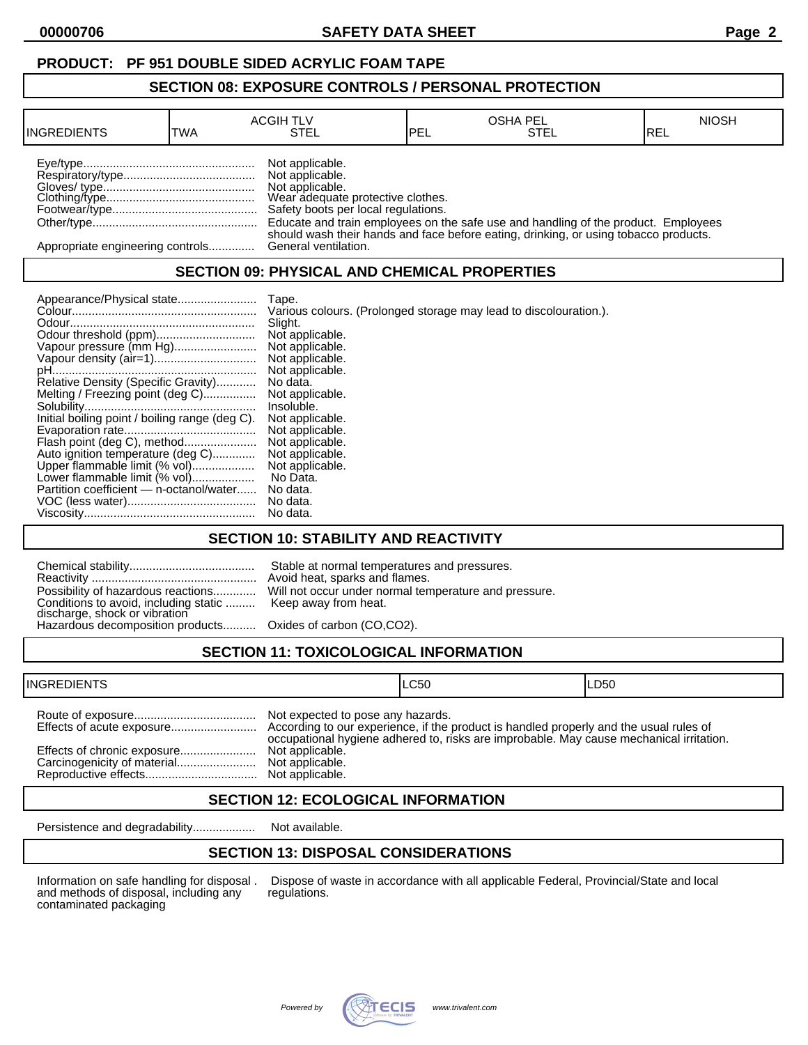## **PRODUCT: PF 951 DOUBLE SIDED ACRYLIC FOAM TAPE**

#### **SECTION 08: EXPOSURE CONTROLS / PERSONAL PROTECTION**

| <b>INGREDIENTS</b>               | TWA | <b>ACGIH TLV</b><br>STEL                                                                                                          | <b>IPEL</b> | <b>OSHA PEL</b><br><b>STEL</b>                                                       | <b>NIOSH</b><br>IREL |
|----------------------------------|-----|-----------------------------------------------------------------------------------------------------------------------------------|-------------|--------------------------------------------------------------------------------------|----------------------|
|                                  |     | Not applicable.<br>Not applicable.<br>Not applicable.<br>Wear adequate protective clothes.<br>Safety boots per local regulations. |             | Educate and train employees on the safe use and handling of the product. Employees   |                      |
| Appropriate engineering controls |     | General ventilation.                                                                                                              |             | should wash their hands and face before eating, drinking, or using tobacco products. |                      |

## **SECTION 09: PHYSICAL AND CHEMICAL PROPERTIES**

|                                                                    | Tape.                                                             |
|--------------------------------------------------------------------|-------------------------------------------------------------------|
|                                                                    | Various colours. (Prolonged storage may lead to discolouration.). |
|                                                                    | Slight.                                                           |
|                                                                    | Not applicable.                                                   |
| Vapour pressure (mm Hg)                                            | Not applicable.                                                   |
|                                                                    | Not applicable.                                                   |
|                                                                    | Not applicable.                                                   |
| Relative Density (Specific Gravity)                                | No data.                                                          |
| Melting / Freezing point (deg C)                                   | Not applicable.                                                   |
|                                                                    | Insoluble.                                                        |
| Initial boiling point / boiling range (deg C).                     | Not applicable.                                                   |
|                                                                    | Not applicable.                                                   |
| Flash point (deg C), method                                        | Not applicable.<br>Not applicable.                                |
| Auto ignition temperature (deg C)<br>Upper flammable limit (% vol) | Not applicable.                                                   |
| Lower flammable limit (% vol)                                      | No Data.                                                          |
| Partition coefficient - n-octanol/water                            | No data.                                                          |
|                                                                    | No data.                                                          |
|                                                                    | No data.                                                          |

## **SECTION 10: STABILITY AND REACTIVITY**

| Conditions to avoid, including static  Keep away from heat.<br>discharge, shock or vibration<br>Hazardous decomposition products Oxides of carbon (CO,CO2). | Stable at normal temperatures and pressures.<br>Avoid heat, sparks and flames.<br>Possibility of hazardous reactions Will not occur under normal temperature and pressure. |
|-------------------------------------------------------------------------------------------------------------------------------------------------------------|----------------------------------------------------------------------------------------------------------------------------------------------------------------------------|
|                                                                                                                                                             |                                                                                                                                                                            |

# **SECTION 11: TOXICOLOGICAL INFORMATION**

| <b>INGREDIENTS</b>          |                                                                         | ILC50                                                                                   | ILD50 |
|-----------------------------|-------------------------------------------------------------------------|-----------------------------------------------------------------------------------------|-------|
| Effects of chronic exposure | Not expected to pose any hazards.<br>Not applicable.<br>Not applicable. | occupational hygiene adhered to, risks are improbable. May cause mechanical irritation. |       |

## **SECTION 12: ECOLOGICAL INFORMATION**

Persistence and degradability................... Not available.

## **SECTION 13: DISPOSAL CONSIDERATIONS**

and methods of disposal, including any contaminated packaging

Information on safe handling for disposal . Dispose of waste in accordance with all applicable Federal, Provincial/State and local